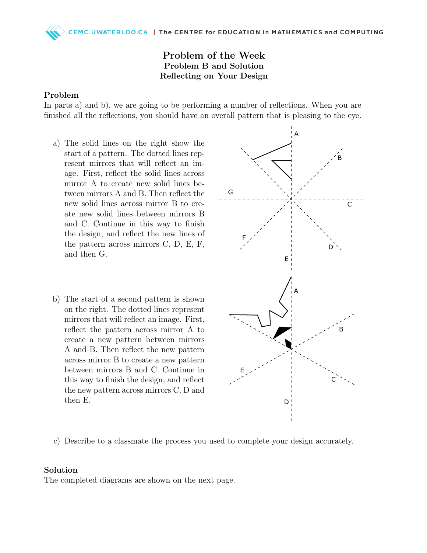Problem of the Week Problem B and Solution Reflecting on Your Design

## Problem

In parts a) and b), we are going to be performing a number of reflections. When you are finished all the reflections, you should have an overall pattern that is pleasing to the eye.

- a) The solid lines on the right show the start of a pattern. The dotted lines represent mirrors that will reflect an image. First, reflect the solid lines across mirror A to create new solid lines between mirrors A and B. Then reflect the new solid lines across mirror B to create new solid lines between mirrors B and C. Continue in this way to finish the design, and reflect the new lines of the pattern across mirrors C, D, E, F, and then G.
- b) The start of a second pattern is shown on the right. The dotted lines represent mirrors that will reflect an image. First, reflect the pattern across mirror A to create a new pattern between mirrors A and B. Then reflect the new pattern across mirror B to create a new pattern between mirrors B and C. Continue in this way to finish the design, and reflect the new pattern across mirrors C, D and then E.



c) Describe to a classmate the process you used to complete your design accurately.

## Solution

The completed diagrams are shown on the next page.